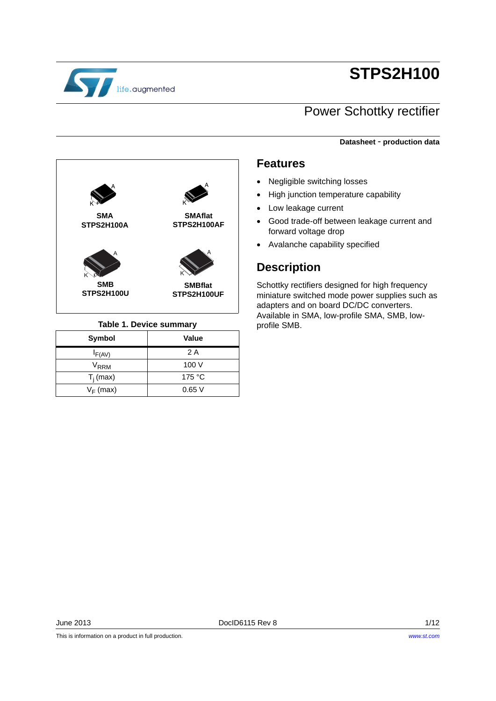

# **STPS2H100**

## Power Schottky rectifier

**Datasheet** - **production data**



## **Table 1. Device summary** profile SMB.

| Symbol              | Value  |
|---------------------|--------|
| $I_{F(AV)}$         | 2 A    |
| $\rm{V}_{\rm{RRM}}$ | 100 V  |
| $T_i$ (max)         | 175 °C |
| $V_F$ (max)         | 0.65V  |

## **Features**

- Negligible switching losses
- High junction temperature capability
- Low leakage current
- Good trade-off between leakage current and forward voltage drop
- Avalanche capability specified

## **Description**

Schottky rectifiers designed for high frequency miniature switched mode power supplies such as adapters and on board DC/DC converters. Available in SMA, low-profile SMA, SMB, low-

This is information on a product in full production.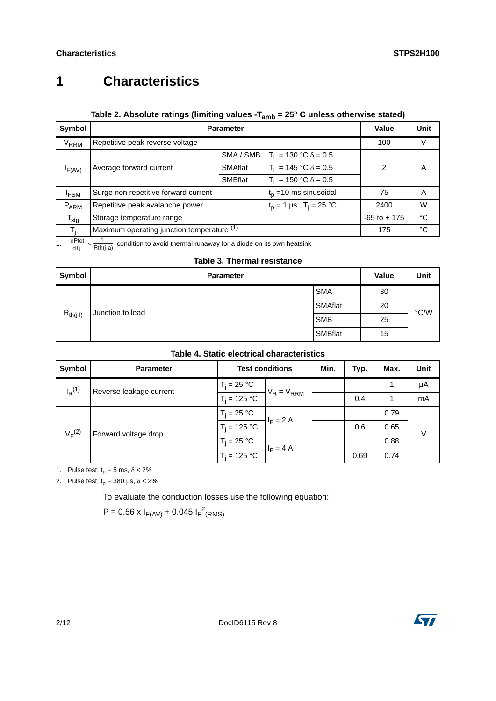# **1 Characteristics**

## Table 2. Absolute ratings (limiting values -T<sub>amb</sub> = 25° C unless otherwise stated)

| <b>Symbol</b>          | <b>Parameter</b>                                                                       |                |                               | <b>Value</b>    | Unit        |
|------------------------|----------------------------------------------------------------------------------------|----------------|-------------------------------|-----------------|-------------|
| <b>V<sub>RRM</sub></b> | Repetitive peak reverse voltage                                                        |                |                               | 100             | V           |
|                        |                                                                                        | SMA / SMB      | $T_1 = 130 °C \delta = 0.5$   |                 |             |
| $I_{F(AV)}$            | Average forward current                                                                |                | $T_1 = 145$ °C $\delta = 0.5$ | 2               | Α           |
|                        |                                                                                        | <b>SMBflat</b> | $T_1 = 150 °C \delta = 0.5$   |                 |             |
| <sup>I</sup> FSM       | $t_p = 10$ ms sinusoidal<br>Surge non repetitive forward current                       |                |                               | 75              | Α           |
| P <sub>ARM</sub>       | Repetitive peak avalanche power<br>$t_p = 1 \,\mu s \quad T_i = 25 \,^{\circ}\text{C}$ |                |                               | 2400            | W           |
| $T_{\text{stg}}$       | Storage temperature range                                                              |                |                               | $-65$ to $+175$ | $^{\circ}C$ |
| T.                     | Maximum operating junction temperature (1)                                             |                |                               | 175             | °C          |

1.  $\frac{dPtot}{dTj} < \frac{1}{Rth(j-a)}$  condition to avoid thermal runaway for a diode on its own heatsink

## **Table 3. Thermal resistance**

| Symbol                            | <b>Parameter</b> |         | Value | Unit |
|-----------------------------------|------------------|---------|-------|------|
|                                   | <b>SMA</b>       |         | 30    |      |
| $R_{th(j-l)}$<br>Junction to lead |                  | SMAflat | 20    | °C/W |
|                                   | <b>SMB</b>       |         | 25    |      |
|                                   |                  | SMBflat | 15    |      |

|  |  |  | Table 4. Static electrical characteristics |
|--|--|--|--------------------------------------------|
|--|--|--|--------------------------------------------|

| Symbol                              | <b>Parameter</b> | <b>Test conditions</b> |                 | Min. | Typ. | Max. | <b>Unit</b> |
|-------------------------------------|------------------|------------------------|-----------------|------|------|------|-------------|
| $I_R^{(1)}$                         | $T_i = 25 °C$    |                        | $V_R = V_{RRM}$ |      |      | 1    | μA          |
| Reverse leakage current             | $T_i = 125 °C$   |                        |                 | 0.4  |      | mA   |             |
| $V_F^{(2)}$<br>Forward voltage drop | $T_i = 25 °C$    | $I_F = 2 A$            |                 |      | 0.79 |      |             |
|                                     |                  | $T_i = 125 °C$         |                 |      | 0.6  | 0.65 | V           |
|                                     | $T_i = 25 °C$    |                        |                 |      | 0.88 |      |             |
|                                     | $T_i = 125 °C$   | $I_F = 4 A$            |                 | 0.69 | 0.74 |      |             |

1. Pulse test:  $t_p = 5$  ms,  $\delta < 2\%$ 

2. Pulse test:  $t_p = 380 \text{ }\mu\text{s}, \delta < 2\%$ 

To evaluate the conduction losses use the following equation:

 $P = 0.56 \times I_{F(AV)} + 0.045 I_{F}^{2}$ (RMS)

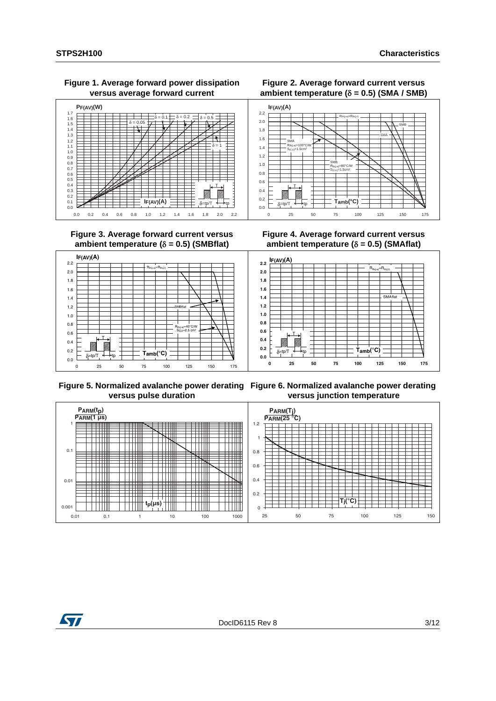### **Figure 1. Average forward power dissipation versus average forward current**



 **Figure 3. Average forward current versus**  ambient temperature  $(\delta = 0.5)$  (SMBflat)



**Figure 4. Average forward current versus**  ambient temperature  $(\delta = 0.5)$  (SMAflat)

SMB  $R_{\text{th}(\text{i-a})}$ =80°C/W  $S<sub>(CU)</sub>=1.5cm$ th(j-a) (cu)=1.5cm<sup>2</sup>

0 25 50 75 100 125 150 175

 $T_{amb}$ (°C)

**Figure 2. Average forward current versus**  ambient temperature  $(\delta = 0.5)$  (SMA / SMB)

 $R_{th(j-a)} = R_{th(j-1)}$ 

SMA

SMB



**Figure 5. Normalized avalanche power derating Figure 6. Normalized avalanche power derating versus pulse duration**

**versus junction temperature**



0.0 0.2 0.4 0.6 0.8 1.0 1.2 1.4 1.6 1.8 2.0 2.2

**I (A) F(AV)**

T  $\frac{1}{\delta}$ =tp/T  $\frac{1}{\delta}$ +tp

SMA  $R_{th(i-a)} = 100^{\circ}$ C/W  $S<sub>(CU)</sub>=1.5cm$ th(j-a)  $(CU) = 1.5$ cm<sup>2</sup>

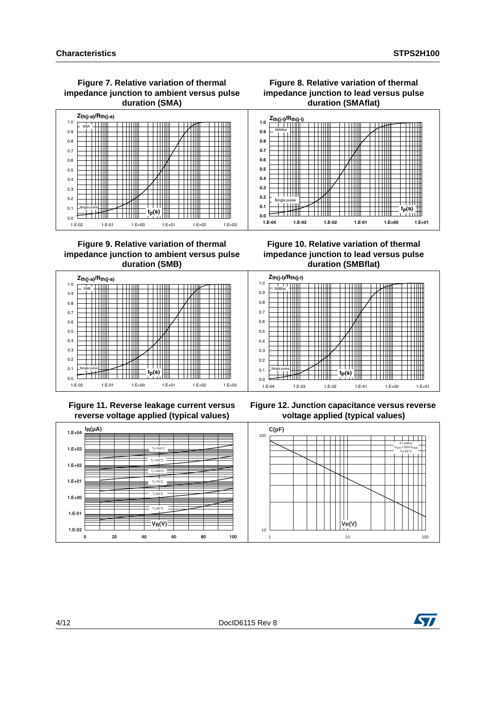### **Figure 7. Relative variation of thermal impedance junction to ambient versus pulse duration (SMA)**





**Figure 9. Relative variation of thermal impedance junction to ambient versus pulse duration (SMB)**

**Figure 10. Relative variation of thermal impedance junction to lead versus pulse duration (SMBflat)**

┯┷

Ŧ H

┯┷

 $\pm\pm\pm$ 



 **Figure 11. Reverse leakage current versus reverse voltage applied (typical values)**



**Figure 12. Junction capacitance versus reverse voltage applied (typical values)**



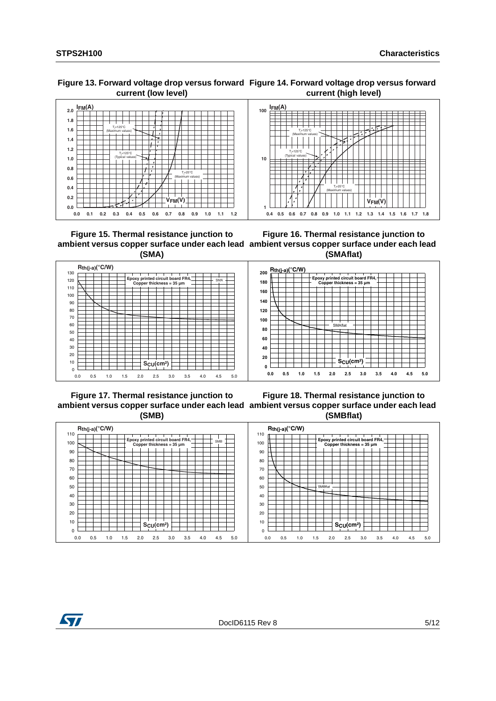#### **Figure 13. Forward voltage drop versus forward Figure 14. Forward voltage drop versus forward current (low level) current (high level)**





 **Figure 15. Thermal resistance junction to (SMA)**

**ambient versus copper surface under each lead ambient versus copper surface under each lead Figure 16. Thermal resistance junction to (SMAflat)**



 **Figure 17. Thermal resistance junction to (SMB)**

**ambient versus copper surface under each lead ambient versus copper surface under each lead Figure 18. Thermal resistance junction to (SMBflat)**



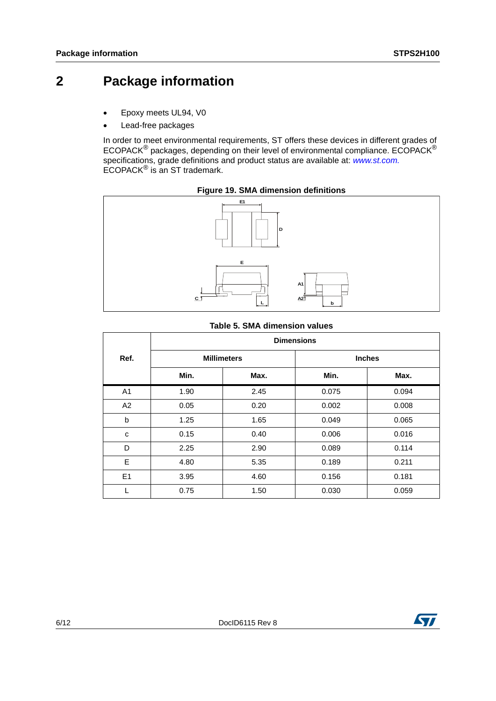## **2 Package information**

- Epoxy meets UL94, V0
- Lead-free packages

In order to meet environmental requirements, ST offers these devices in different grades of ECOPACK® packages, depending on their level of environmental compliance. ECOPACK® specifications, grade definitions and product status are available at: *[www.st.com.](http://www.st.com)* ECOPACK® is an ST trademark.





## **Table 5. SMA dimension values**

| <b>Dimensions</b> |      |                    |               |  |  |  |
|-------------------|------|--------------------|---------------|--|--|--|
|                   |      |                    | <b>Inches</b> |  |  |  |
| Min.              | Max. | Min.               | Max.          |  |  |  |
| 1.90              | 2.45 | 0.075              | 0.094         |  |  |  |
| 0.05              | 0.20 | 0.002              | 0.008         |  |  |  |
| 1.25              | 1.65 | 0.049              | 0.065         |  |  |  |
| 0.15              | 0.40 | 0.006              | 0.016         |  |  |  |
| 2.25              | 2.90 | 0.089              | 0.114         |  |  |  |
| 4.80              | 5.35 | 0.189              | 0.211         |  |  |  |
| 3.95              | 4.60 | 0.156              | 0.181         |  |  |  |
| 0.75              | 1.50 | 0.030              | 0.059         |  |  |  |
|                   |      | <b>Millimeters</b> |               |  |  |  |

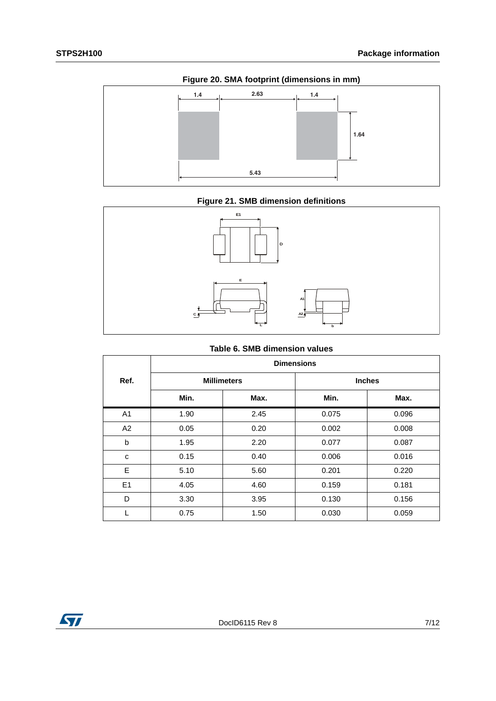

**Figure 21. SMB dimension definitions**



## **Table 6. SMB dimension values**

|                | <b>Dimensions</b>  |      |       |               |  |  |
|----------------|--------------------|------|-------|---------------|--|--|
| Ref.           | <b>Millimeters</b> |      |       | <b>Inches</b> |  |  |
|                | Min.               | Max. | Min.  | Max.          |  |  |
| A <sub>1</sub> | 1.90               | 2.45 | 0.075 | 0.096         |  |  |
| A2             | 0.05               | 0.20 | 0.002 | 0.008         |  |  |
| b              | 1.95               | 2.20 | 0.077 | 0.087         |  |  |
| с              | 0.15               | 0.40 | 0.006 | 0.016         |  |  |
| E              | 5.10               | 5.60 | 0.201 | 0.220         |  |  |
| E1             | 4.05               | 4.60 | 0.159 | 0.181         |  |  |
| D              | 3.30               | 3.95 | 0.130 | 0.156         |  |  |
|                | 0.75               | 1.50 | 0.030 | 0.059         |  |  |

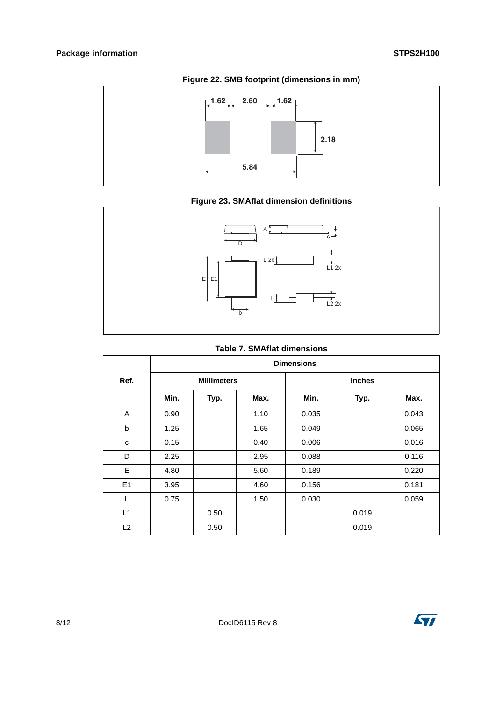





|  | <b>Table 7. SMAflat dimensions</b> |
|--|------------------------------------|
|  |                                    |

|      | <b>Dimensions</b> |                    |      |       |               |       |  |
|------|-------------------|--------------------|------|-------|---------------|-------|--|
| Ref. |                   | <b>Millimeters</b> |      |       | <b>Inches</b> |       |  |
|      | Min.              | Typ.               | Max. | Min.  | Typ.          | Max.  |  |
| A    | 0.90              |                    | 1.10 | 0.035 |               | 0.043 |  |
| b    | 1.25              |                    | 1.65 | 0.049 |               | 0.065 |  |
| C    | 0.15              |                    | 0.40 | 0.006 |               | 0.016 |  |
| D    | 2.25              |                    | 2.95 | 0.088 |               | 0.116 |  |
| E    | 4.80              |                    | 5.60 | 0.189 |               | 0.220 |  |
| E1   | 3.95              |                    | 4.60 | 0.156 |               | 0.181 |  |
| L    | 0.75              |                    | 1.50 | 0.030 |               | 0.059 |  |
| L1   |                   | 0.50               |      |       | 0.019         |       |  |
| L2   |                   | 0.50               |      |       | 0.019         |       |  |

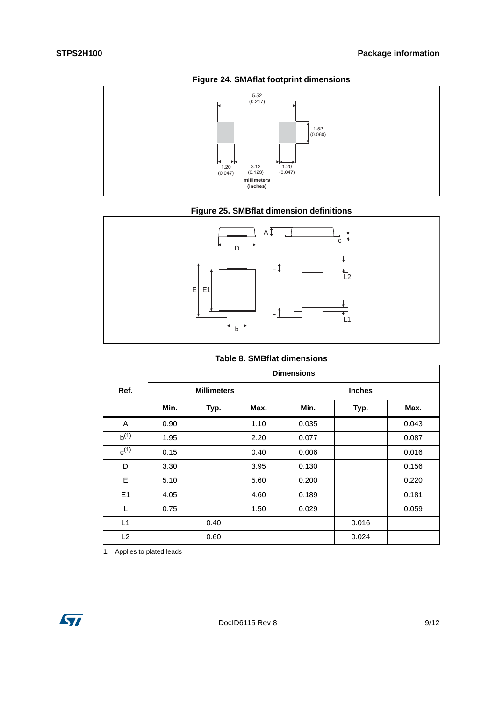

## **Figure 25. SMBflat dimension definitions**



### **Table 8. SMBflat dimensions**

|           | <b>Dimensions</b> |                    |      |       |               |       |
|-----------|-------------------|--------------------|------|-------|---------------|-------|
| Ref.      |                   | <b>Millimeters</b> |      |       | <b>Inches</b> |       |
|           | Min.              | Typ.               | Max. | Min.  | Typ.          | Max.  |
| A         | 0.90              |                    | 1.10 | 0.035 |               | 0.043 |
| $b^{(1)}$ | 1.95              |                    | 2.20 | 0.077 |               | 0.087 |
| $c^{(1)}$ | 0.15              |                    | 0.40 | 0.006 |               | 0.016 |
| D         | 3.30              |                    | 3.95 | 0.130 |               | 0.156 |
| E         | 5.10              |                    | 5.60 | 0.200 |               | 0.220 |
| E1        | 4.05              |                    | 4.60 | 0.189 |               | 0.181 |
| L         | 0.75              |                    | 1.50 | 0.029 |               | 0.059 |
| L1        |                   | 0.40               |      |       | 0.016         |       |
| L2        |                   | 0.60               |      |       | 0.024         |       |

1. Applies to plated leads

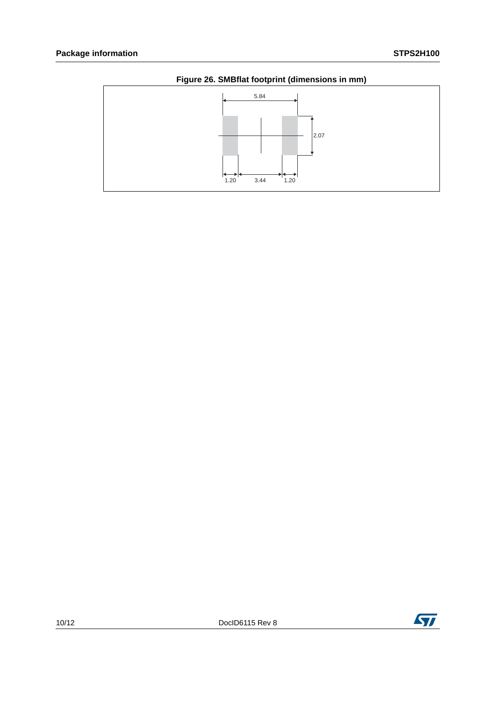

**Figure 26. SMBflat footprint (dimensions in mm)**

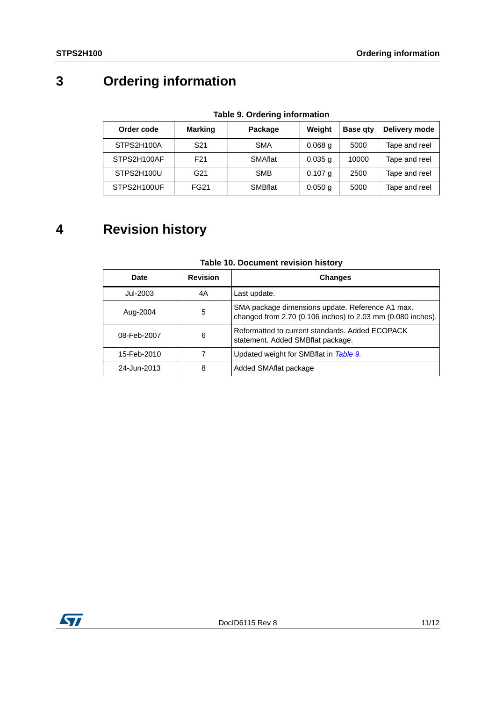# **3 Ordering information**

<span id="page-10-0"></span>

| Order code  | <b>Marking</b>  | Package        | Weight    | <b>Base qty</b> | Delivery mode |
|-------------|-----------------|----------------|-----------|-----------------|---------------|
| STPS2H100A  | S <sub>21</sub> | <b>SMA</b>     | $0.068$ g | 5000            | Tape and reel |
| STPS2H100AF | F <sub>21</sub> | <b>SMAflat</b> | $0.035$ g | 10000           | Tape and reel |
| STPS2H100U  | G21             | <b>SMB</b>     | $0.107$ g | 2500            | Tape and reel |
| STPS2H100UF | <b>FG21</b>     | <b>SMBflat</b> | $0.050$ g | 5000            | Tape and reel |

**Table 9. Ordering information**

## **4 Revision history**

| <b>Date</b> | <b>Revision</b> | <b>Changes</b>                                                                                                  |
|-------------|-----------------|-----------------------------------------------------------------------------------------------------------------|
| Jul-2003    | 4Α              | Last update.                                                                                                    |
| Aug-2004    | 5               | SMA package dimensions update. Reference A1 max.<br>changed from 2.70 (0.106 inches) to 2.03 mm (0.080 inches). |
| 08-Feb-2007 | 6               | Reformatted to current standards, Added ECOPACK<br>statement. Added SMBflat package.                            |
| 15-Feb-2010 |                 | Updated weight for SMBflat in Table 9.                                                                          |
| 24-Jun-2013 | 8               | Added SMAflat package                                                                                           |

## **Table 10. Document revision history**